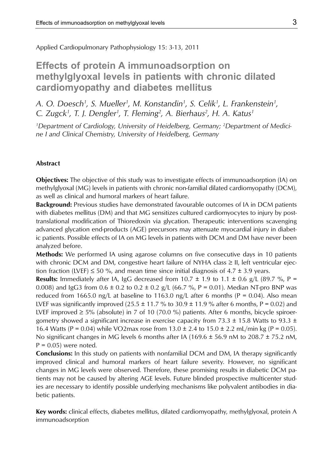Applied Cardiopulmonary Pathophysiology 15: 3-13, 2011

# **Effects of protein A immunoadsorption on methylglyoxal levels in patients with chronic dilated cardiomyopathy and diabetes mellitus**

A. O. Doesch<sup>1</sup>, S. Mueller<sup>1</sup>, M. Konstandin<sup>1</sup>, S. Celik<sup>1</sup>, L. Frankenstein<sup>1</sup>, *C. Zugck1 , T. J. Dengler1 , T. Fleming2 , A. Bierhaus2 , H. A. Katus1*

<sup>1</sup>Department of Cardiology, University of Heidelberg, Germany; <sup>2</sup>Department of Medici*ne I and Clinical Chemistry, University of Heidelberg, Germany*

### **Abstract**

**Objectives:** The objective of this study was to investigate effects of immunoadsorption (IA) on methylglyoxal (MG) levels in patients with chronic non-familial dilated cardiomyopathy (DCM), as well as clinical and humoral markers of heart failure.

**Background:** Previous studies have demonstrated favourable outcomes of IA in DCM patients with diabetes mellitus (DM) and that MG sensitizes cultured cardiomyocytes to injury by posttranslational modification of Thioredoxin via glycation. Therapeutic interventions scavenging advanced glycation end-products (AGE) precursors may attenuate myocardial injury in diabetic patients. Possible effects of IA on MG levels in patients with DCM and DM have never been analyzed before.

**Methods:** We performed IA using agarose columns on five consecutive days in 10 patients with chronic DCM and DM, congestive heart failure of NYHA class  $\geq$  II, left ventricular ejection fraction (LVEF)  $\leq$  50 %, and mean time since initial diagnosis of 4.7  $\pm$  3.9 years.

**Results:** Immediately after IA, IgG decreased from  $10.7 \pm 1.9$  to  $1.1 \pm 0.6$  g/L (89.7 %, P = 0.008) and IgG3 from  $0.6 \pm 0.2$  to  $0.2 \pm 0.2$  g/L (66.7 %, P = 0.01). Median NT-pro BNP was reduced from 1665.0 ng/L at baseline to 1163.0 ng/L after 6 months ( $P = 0.04$ ). Also mean LVEF was significantly improved  $(25.5 \pm 11.7 \%$  to  $30.9 \pm 11.9 \%$  after 6 months, P = 0.02) and LVEF improved ≥ 5% (absolute) in 7 of 10 (70.0 %) patients. After 6 months, bicycle spiroergometry showed a significant increase in exercise capacity from  $73.3 \pm 15.8$  Watts to  $93.3 \pm 15.8$ 16.4 Watts (P = 0.04) while VO2max rose from  $13.0 \pm 2.4$  to  $15.0 \pm 2.2$  mL/min kg (P = 0.05). No significant changes in MG levels 6 months after IA (169.6  $\pm$  56.9 nM to 208.7  $\pm$  75.2 nM,  $P = 0.05$ ) were noted.

**Conclusions:** In this study on patients with nonfamilial DCM and DM, IA therapy significantly improved clinical and humoral markers of heart failure severity. However, no significant changes in MG levels were observed. Therefore, these promising results in diabetic DCM patients may not be caused by altering AGE levels. Future blinded prospective multicenter studies are necessary to identify possible underlying mechanisms like polyvalent antibodies in diabetic patients.

**Key words:** clinical effects, diabetes mellitus, dilated cardiomyopathy, methylglyoxal, protein A immunoadsorption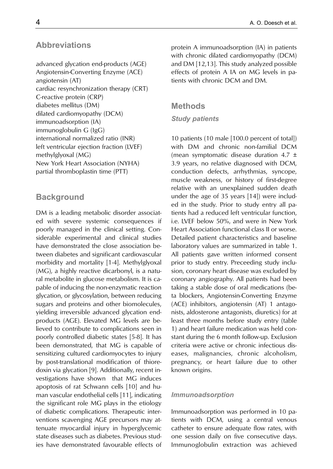# **Abbreviations**

advanced glycation end-products (AGE) Angiotensin-Converting Enzyme (ACE) angiotensin (AT) cardiac resynchronization therapy (CRT) C-reactive protein (CRP) diabetes mellitus (DM) dilated cardiomyopathy (DCM) immunoadsorption (IA) immunoglobulin G (IgG) international normalized ratio (INR) left ventricular ejection fraction (LVEF) methylglyoxal (MG) New York Heart Association (NYHA) partial thromboplastin time (PTT)

# **Background**

DM is a leading metabolic disorder associated with severe systemic consequences if poorly managed in the clinical setting. Considerable experimental and clinical studies have demonstrated the close association between diabetes and significant cardiovascular morbidity and mortality [1-4]. Methylglyoxal (MG), a highly reactive dicarbonyl, is a natural metabolite in glucose metabolism. It is capable of inducing the non-enzymatic reaction glycation, or glycosylation, between reducing sugars and proteins and other biomolecules, yielding irreversible advanced glycation endproducts (AGE). Elevated MG levels are believed to contribute to complications seen in poorly controlled diabetic states [5-8]. It has been demonstrated, that MG is capable of sensitizing cultured cardiomyocytes to injury by post-translational modification of thioredoxin via glycation [9]. Additionally, recent investigations have shown that MG induces apoptosis of rat Schwann cells [10] and human vascular endothelial cells [11], indicating the significant role MG plays in the etiology of diabetic complications. Therapeutic interventions scavenging AGE precursors may attenuate myocardial injury in hyperglycemic state diseases such as diabetes. Previous studies have demonstrated favourable effects of protein A immunoadsorption (IA) in patients with chronic dilated cardiomyopathy (DCM) and DM [12,13]. This study analyzed possible effects of protein A IA on MG levels in patients with chronic DCM and DM.

# **Methods**

### *Study patients*

10 patients (10 male [100.0 percent of total]) with DM and chronic non-familial DCM (mean symptomatic disease duration 4.7 ± 3.9 years, no relative diagnosed with DCM, conduction defects, arrhythmias, syncope, muscle weakness, or history of first-degree relative with an unexplained sudden death under the age of 35 years [14]) were included in the study. Prior to study entry all patients had a reduced left ventricular function, i.e. LVEF below 50%, and were in New York Heart Association functional class II or worse. Detailed patient characteristics and baseline laboratory values are summarized in table 1. All patients gave written informed consent prior to study entry. Preceeding study inclusion, coronary heart disease was excluded by coronary angiography. All patients had been taking a stable dose of oral medications (beta blockers, Angiotensin-Converting Enzyme (ACE) inhibitors, angiotensin (AT) 1 antagonists, aldosterone antagonists, diuretics) for at least three months before study entry (table 1) and heart failure medication was held constant during the 6 month follow-up. Exclusion criteria were active or chronic infectious diseases, malignancies, chronic alcoholism, pregnancy, or heart failure due to other known origins.

### *Immunoadsorption*

Immunoadsorption was performed in 10 patients with DCM, using a central venous catheter to ensure adequate flow rates, with one session daily on five consecutive days. Immunoglobulin extraction was achieved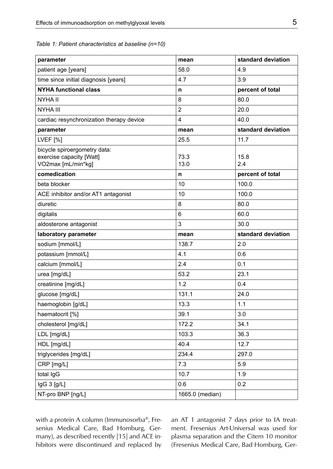*Table 1: Patient characteristics at baseline (n=10)*

| parameter                                                                      | mean            | standard deviation |  |
|--------------------------------------------------------------------------------|-----------------|--------------------|--|
| patient age [years]                                                            | 58.0            | 4.9                |  |
| time since initial diagnosis [years]                                           | 4.7             | 3.9                |  |
| <b>NYHA functional class</b>                                                   | n               | percent of total   |  |
| <b>NYHA II</b>                                                                 | 8               | 80.0               |  |
| <b>NYHA III</b>                                                                | $\overline{2}$  | 20.0               |  |
| cardiac resynchronization therapy device                                       | 4               | 40.0               |  |
| parameter                                                                      | mean            | standard deviation |  |
| <b>LVEF</b> [%]                                                                | 25.5            | 11.7               |  |
| bicycle spiroergometry data:<br>exercise capacity [Watt]<br>VO2max [mL/min*kg] | 73.3<br>13.0    | 15.8<br>2.4        |  |
| comedication                                                                   | n               | percent of total   |  |
| beta blocker                                                                   | 10              | 100.0              |  |
| ACE inhibitor and/or AT1 antagonist                                            | 10              | 100.0              |  |
| diuretic                                                                       | 8               | 80.0               |  |
| digitalis                                                                      | 6               | 60.0               |  |
| aldosterone antagonist                                                         | 3               | 30.0               |  |
| laboratory parameter                                                           | mean            | standard deviation |  |
| sodium [mmol/L]                                                                | 138.7           | 2.0                |  |
| potassium [mmol/L]                                                             | 4.1             | 0.6                |  |
| calcium [mmol/L]                                                               | 2.4             | 0.1                |  |
| urea [mg/dL]                                                                   | 53.2            | 23.1               |  |
| creatinine [mg/dL]                                                             | 1.2             | 0.4                |  |
| glucose [mg/dL]                                                                | 131.1           | 24.0               |  |
| haemoglobin [g/dL]                                                             | 13.3            | 1.1                |  |
| haematocrit [%]                                                                | 39.1            | 3.0                |  |
| cholesterol [mg/dL]                                                            | 172.2           | 34.1               |  |
| LDL [mg/dL]                                                                    | 103.3           | 36.3               |  |
| HDL [mg/dL]                                                                    | 40.4            | 12.7               |  |
| triglycerides [mg/dL]                                                          | 234.4           | 297.0              |  |
| CRP [mg/L]                                                                     | 7.3             | 5.9                |  |
| total IgG                                                                      | 10.7            | 1.9                |  |
| IgG 3 [g/L]                                                                    | 0.6             | 0.2                |  |
| NT-pro BNP [ng/L]                                                              | 1665.0 (median) |                    |  |

with a protein A column (Immunosorba®, Fresenius Medical Care, Bad Homburg, Germany), as described recently [15] and ACE inhibitors were discontinued and replaced by an AT 1 antagonist 7 days prior to IA treatment. Fresenius Art-Universal was used for plasma separation and the Citem 10 monitor (Fresenius Medical Care, Bad Homburg, Ger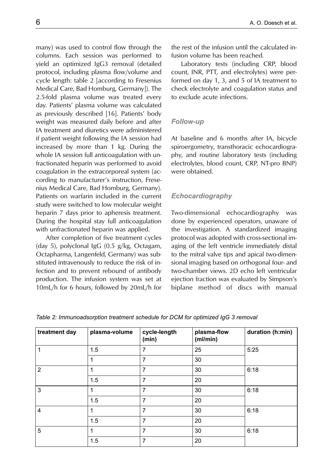many) was used to control flow through the columns. Each session was performed to yield an optimized IgG3 removal (detailed protocol, including plasma flow/volume and cycle length: table 2 [according to Fresenius Medical Care, Bad Homburg, Germany]). The 2.5-fold plasma volume was treated every day. Patients' plasma volume was calculated as previously described [16]. Patients' body weight was measured daily before and after IA treatment and diuretics were administered if patient weight following the IA session had increased by more than 1 kg. During the whole IA session full anticoagulation with unfractionated heparin was performed to avoid coagulation in the extracorporeal system (according to manufacturer's instruction, Fresenius Medical Care, Bad Homburg, Germany). Patients on warfarin included in the current study were switched to low molecular weight heparin 7 days prior to apheresis treatment. During the hospital stay full anticoagulation with unfractionated heparin was applied.

After completion of five treatment cycles (day 5), polyclonal IgG (0.5 g/kg, Octagam, Octapharma, Langenfeld, Germany) was substituted intravenously to reduce the risk of infection and to prevent rebound of antibody production. The infusion system was set at 10mL/h for 6 hours, followed by 20mL/h for the rest of the infusion until the calculated infusion volume has been reached.

Laboratory tests (including CRP, blood count, INR, PTT, and electrolytes) were performed on day 1, 3, and 5 of IA treatment to check electrolyte and coagulation status and to exclude acute infections.

# *Follow-up*

At baseline and 6 months after IA, bicycle spiroergometry, transthoracic echocardiography, and routine laboratory tests (including electrolytes, blood count, CRP, NT-pro BNP) were obtained.

# *Echocardiography*

Two-dimensional echocardiography was done by experienced operators, unaware of the investigation. A standardized imaging protocol was adopted with cross-sectional imaging of the left ventricle immediately distal to the mitral valve tips and apical two-dimensional imaging based on orthogonal four- and two-chamber views. 2D echo left ventricular ejection fraction was evaluated by Simpson's biplane method of discs with manual

|  | Table 2: Immunoadsorption treatment schedule for DCM for optimized IgG 3 removal |
|--|----------------------------------------------------------------------------------|
|--|----------------------------------------------------------------------------------|

| treatment day  | plasma-volume | cycle-length<br>(min) | plasma-flow<br>(ml/min) | duration (h:min) |
|----------------|---------------|-----------------------|-------------------------|------------------|
|                | 1.5           | 7                     | 25                      | 5.25             |
|                | 1             | 7                     | 30                      |                  |
| $\overline{2}$ |               | 7                     | 30                      | 6:18             |
|                | 1.5           | 7                     | 20                      |                  |
| 3              | 1             | 7                     | 30                      | 6:18             |
|                | 1.5           | 7                     | 20                      |                  |
| $\overline{4}$ | 1             | 7                     | 30                      | 6.18             |
|                | 1.5           | 7                     | 20                      |                  |
| 5              |               | 7                     | 30                      | 6.18             |
|                | 1.5           | 7                     | 20                      |                  |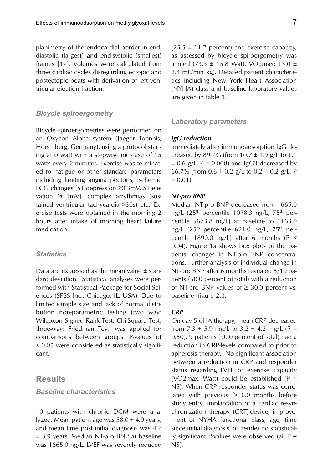planimetry of the endocardial border in enddiastolic (largest) and end-systolic (smallest) frames [17]. Volumes were calculated from three cardiac cycles disregarding ectopic and postectopic beats with derivation of left ventricular ejection fraction.

#### *Bicycle spiroergometry*

Bicycle spiroergometries were performed on an Oxycon Alpha system (Jaeger Toennis, Hoechberg, Germany), using a protocol starting at 0 watt with a stepwise increase of 15 watts every 2 minutes. Exercise was terminated for fatigue or other standard parameters including limiting angina pectoris, ischemic ECG changes (ST depression ≥0.3mV, ST elevation ≥0.1mV), complex arrythmias (sustained ventricular tachycardia >30s) etc. Exercise tests were obtained in the morning 2 hours after intake of morning heart failure medication.

### *Statistics*

Data are expressed as the mean value  $\pm$  standard deviation. Statistical analyses were performed with Statistical Package for Social Sciences (SPSS Inc., Chicago, IL, USA). Due to limited sample size and lack of normal distribution non-parametric testing (two way: Wilcoxon Signed Rank Test, Chi-Square Test; three-way: Friedman Test) was applied for comparisons between groups. P-values of < 0.05 were considered as statistically significant.

# **Results**

### *Baseline characteristics*

10 patients with chronic DCM were analyzed. Mean patient age was 58.0 ± 4.9 years, and mean time post initial diagnosis was 4.7 ± 3.9 years. Median NT-pro BNP at baseline was 1665.0 ng/L. LVEF was severely reduced  $(25.5 \pm 11.7 \text{ percent})$  and exercise capacity, as assessed by bicycle spiroergometry was limited (73.3 ± 15.8 Watt, VO2max: 13.0 ± 2.4 mL/min\*kg). Detailed patient characteristics including New York Heart Association (NYHA) class and baseline laboratory values are given in table 1.

#### *Laboratory parameters*

#### *IgG reduction*

Immediately after immunoadsorption IgG decreased by 89.7% (from  $10.7 \pm 1.9$  g/L to 1.1  $\pm$  0.6 g/L, P = 0.008) and IgG3 decreased by 66.7% (from  $0.6 \pm 0.2$  g/L to  $0.2 \pm 0.2$  g/L, P  $= 0.01$ .

#### *NT-pro BNP*

Median NT-pro BNP decreased from 1665.0 ng/L  $(25<sup>th</sup>$  percentile 1078.3 ng/L, 75<sup>th</sup> percentile 5673.8 ng/L) at baseline to 1163.0 ng/L  $(25<sup>th</sup>$  percentile 621.0 ng/L, 75<sup>th</sup> percentile 1890.0 ng/L) after 6 months ( $P \le$ 0.04). Figure 1a shows box plots of the patients' changes in NT-pro BNP concentrations. Further analysis of individual change in NT-pro BNP after 6 months revealed 5/10 patients (50.0 percent of total) with a reduction of NT-pro BNP values of  $\geq$  30.0 percent vs. baseline (figure 2a).

## *CRP*

On day 5 of IA therapy, mean CRP decreased from 7.3  $\pm$  5.9 mg/L to 3.2  $\pm$  4.2 mg/L (P = 0.50). 9 patients (90.0 percent of total) had a reduction in CRP-levels compared to prior to apheresis therapy. No significant association between a reduction in CRP and responder status regarding LVEF or exercise capacity (VO2max, Watt) could be established  $(P =$ NS). When CRP responder status was correlated with previous (> 6.0 months before study entry) implantation of a cardiac resynchronization therapy (CRT)-device, improvement of NYHA functional class, age, time since initial diagnosis, or gender no statistically significant P-values were observed (all P = NS).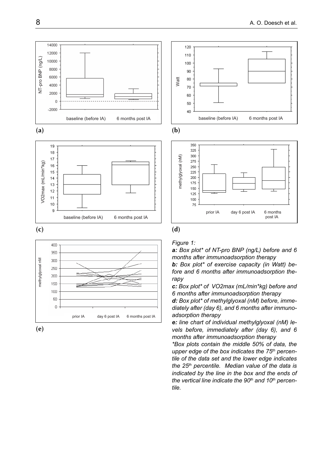













#### *Figure 1:*

*a: Box plot\* of NT-pro BNP (ng/L) before and 6 months after immunoadsorption therapy*

*b: Box plot\* of exercise capacity (in Watt) before and 6 months after immunoadsorption therapy*

*c: Box plot\* of VO2max (mL/min\*kg) before and 6 months after immunoadsorption therapy*

*d: Box plot\* of methylglyoxal (nM) before, immediately after (day 6), and 6 months after immunoadsorption therapy*

*e: line chart of individual methylglyoxal (nM) levels before, immediately after (day 6), and 6 months after immunoadsorption therapy*

*\*Box plots contain the middle 50% of data, the upper edge of the box indicates the 75th percentile of the data set and the lower edge indicates the 25th percentile. Median value of the data is indicated by the line in the box and the ends of the vertical line indicate the 90th and 10th percentile.*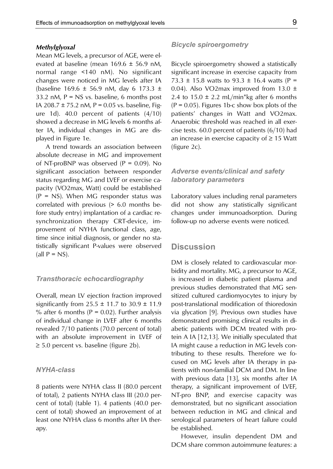### *Methylglyoxal*

Mean MG levels, a precursor of AGE, were elevated at baseline (mean 169.6 ± 56.9 nM, normal range <140 nM). No significant changes were noticed in MG levels after IA (baseline  $169.6 \pm 56.9$  nM, day 6 173.3  $\pm$ 33.2 nM,  $P = NS$  vs. baseline, 6 months post IA 208.7  $\pm$  75.2 nM, P = 0.05 vs. baseline, Figure 1d). 40.0 percent of patients (4/10) showed a decrease in MG levels 6 months after IA, individual changes in MG are displayed in Figure 1e.

A trend towards an association between absolute decrease in MG and improvement of NT-proBNP was observed  $(P = 0.09)$ . No significant association between responder status regarding MG and LVEF or exercise capacity (VO2max, Watt) could be established  $(P = NS)$ . When MG responder status was correlated with previous (> 6.0 months before study entry) implantation of a cardiac resynchronization therapy CRT-device, improvement of NYHA functional class, age, time since initial diagnosis, or gender no statistically significant P-values were observed (all  $P = NS$ ).

### *Transthoracic echocardiography*

Overall, mean LV ejection fraction improved significantly from  $25.5 \pm 11.7$  to  $30.9 \pm 11.9$ % after 6 months ( $P = 0.02$ ). Further analysis of individual change in LVEF after 6 months revealed 7/10 patients (70.0 percent of total) with an absolute improvement in LVEF of  $\geq$  5.0 percent vs. baseline (figure 2b).

### *NYHA-class*

8 patients were NYHA class II (80.0 percent of total), 2 patients NYHA class III (20.0 percent of total) (table 1). 4 patients (40.0 percent of total) showed an improvement of at least one NYHA class 6 months after IA therapy.

### *Bicycle spiroergometry*

Bicycle spiroergometry showed a statistically significant increase in exercise capacity from 73.3  $\pm$  15.8 watts to 93.3  $\pm$  16.4 watts (P = 0.04). Also VO2max improved from 13.0 ± 2.4 to  $15.0 \pm 2.2$  mL/min\*kg after 6 months  $(P = 0.05)$ . Figures 1b-c show box plots of the patients' changes in Watt and VO2max. Anaerobic threshold was reached in all exercise tests. 60.0 percent of patients (6/10) had an increase in exercise capacity of  $\geq 15$  Watt (figure 2c).

# *Adverse events/clinical and safety laboratory parameters*

Laboratory values including renal parameters did not show any statistically significant changes under immunoadsorption. During follow-up no adverse events were noticed.

# **Discussion**

DM is closely related to cardiovascular morbidity and mortality. MG, a precursor to AGE, is increased in diabetic patient plasma and previous studies demonstrated that MG sensitized cultured cardiomyocytes to injury by post-translational modification of thioredoxin via glycation [9]. Previous own studies have demonstrated promising clinical results in diabetic patients with DCM treated with protein A IA [12,13]. We initially speculated that IA might cause a reduction in MG levels contributing to these results. Therefore we focused on MG levels after IA therapy in patients with non-familial DCM and DM. In line with previous data [13], six months after IA therapy, a significant improvement of LVEF, NT-pro BNP, and exercise capacity was demonstrated, but no significant association between reduction in MG and clinical and serological parameters of heart failure could be established.

However, insulin dependent DM and DCM share common autoimmune features: a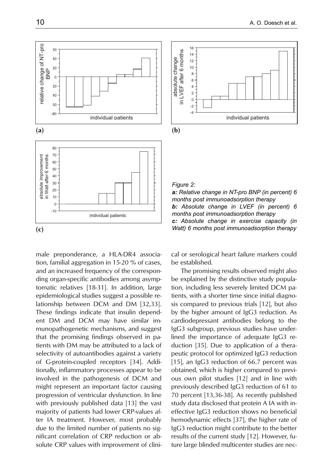

male preponderance, a HLA-DR4 association, familial aggregation in 15-20 % of cases, and an increased frequency of the corresponding organ-specific antibodies among asymptomatic relatives [18-31]. In addition, large epidemiological studies suggest a possible relationship between DCM and DM [32,33]. These findings indicate that insulin dependent DM and DCM may have similar immunopathogenetic mechanisms, and suggest that the promising findings observed in patients with DM may be attributed to a lack of selectivity of autoantibodies against a variety of G-protein-coupled receptors [34]. Additionally, inflammatory processes appear to be involved in the pathogenesis of DCM and might represent an important factor causing progression of ventricular dysfunction. In line with previously published data [13] the vast majority of patients had lower CRP-values after IA treatment. However, most probably due to the limited number of patients no significant correlation of CRP reduction or absolute CRP values with improvement of clini-



*Figure 2: a: Relative change in NT-pro BNP (in percent) 6 months post immunoadsorption therapy b: Absolute change in LVEF (in percent) 6 months post immunoadsorption therapy c: Absolute change in exercise capacity (in Watt) 6 months post immunoadsorption therapy*

cal or serological heart failure markers could be established.

The promising results observed might also be explained by the distinctive study population, including less severely limited DCM patients, with a shorter time since initial diagnosis compared to previous trials [12], but also by the higher amount of IgG3 reduction. As cardiodepressant antibodies belong to the IgG3 subgroup, previous studies have underlined the importance of adequate IgG3 reduction [35]. Due to application of a therapeutic protocol for optimized IgG3 reduction [15], an IgG3 reduction of 66.7 percent was obtained, which is higher compared to previous own pilot studies [12] and in line with previously described IgG3 reduction of 61 to 70 percent [13,36-38]. As recently published study data disclosed that protein A IA with ineffective IgG3 reduction shows no beneficial hemodynamic effects [37], the higher rate of IgG3 reduction might contribute to the better results of the current study [12]. However, future large blinded multicenter studies are nec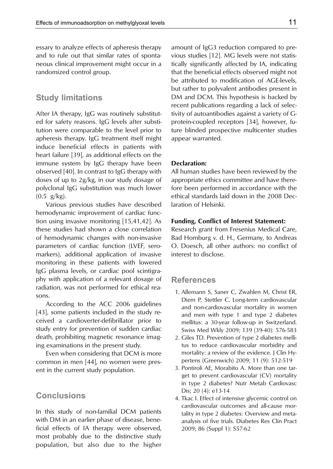essary to analyze effects of apheresis therapy and to rule out that similar rates of spontaneous clinical improvement might occur in a randomized control group.

# **Study limitations**

After IA therapy, IgG was routinely substituted for safety reasons. IgG levels after substitution were comparable to the level prior to apheresis therapy. IgG treatment itself might induce beneficial effects in patients with heart failure [39], as additional effects on the immune system by IgG therapy have been observed [40]. In contrast to IgG therapy with doses of up to 2g/kg, in our study dosage of polyclonal IgG substitution was much lower  $(0.5 \text{ g/kg}).$ 

Various previous studies have described hemodynamic improvement of cardiac function using invasive monitoring [15,41,42]. As these studies had shown a close correlation of hemodynamic changes with non-invasive parameters of cardiac function (LVEF, seromarkers), additional application of invasive monitoring in these patients with lowered IgG plasma levels, or cardiac pool scintigraphy with application of a relevant dosage of radiation, was not performed for ethical reasons.

According to the ACC 2006 guidelines [43], some patients included in the study received a cardioverter-defibrillator prior to study entry for prevention of sudden cardiac death, prohibiting magnetic resonance imaging examinations in the present study.

Even when considering that DCM is more common in men [44], no women were present in the current study population.

# **Conclusions**

In this study of non-familial DCM patients with DM in an earlier phase of disease, beneficial effects of IA therapy were observed, most probably due to the distinctive study population, but also due to the higher amount of IgG3 reduction compared to previous studies [12]. MG levels were not statistically significantly affected by IA, indicating that the beneficial effects observed might not be attributed to modification of AGE-levels, but rather to polyvalent antibodies present in DM and DCM. This hypothesis is backed by recent publications regarding a lack of selectivity of autoantibodies against a variety of Gprotein-coupled receptors [34], however, future blinded prospective multicenter studies appear warranted.

### **Declaration:**

All human studies have been reviewed by the appropriate ethics committee and have therefore been performed in accordance with the ethical standards laid down in the 2008 Declaration of Helsinki.

### **Funding, Conflict of Interest Statement:**

Research grant from Fresenius Medical Care, Bad Homburg v. d. H., Germany, to Andreas O. Doesch, all other authors: no conflict of interest to disclose.

# **References**

- 1. Allemann S, Saner C, Zwahlen M, Christ ER, Diem P, Stettler C. Long-term cardiovascular and non-cardiovascular mortality in women and men with type 1 and type 2 diabetes mellitus: a 30-year follow-up in Switzerland. Swiss Med Wkly 2009; 139 (39-40): 576-583
- 2. Giles TD. Prevention of type 2 diabetes mellitus to reduce cardiovascular morbidity and mortality: a review of the evidence. J Clin Hypertens (Greenwich) 2009; 11 (9): 512-519
- 3. Pontiroli AE, Morabito A. More than one target to prevent cardiovascular (CV) mortality in type 2 diabetes? Nutr Metab Cardiovasc Dis; 20 (4): e13-14
- 4. Tkac I. Effect of intensive glycemic control on cardiovascular outcomes and all-cause mortality in type 2 diabetes: Overview and metaanalysis of five trials. Diabetes Res Clin Pract 2009; 86 (Suppl 1): S57-62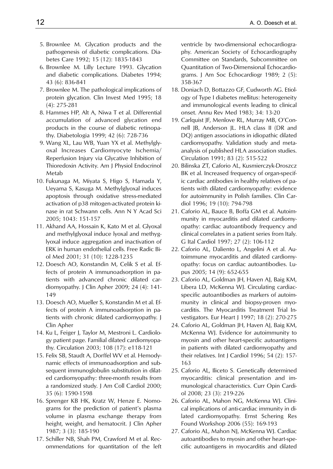- 5. Brownlee M. Glycation products and the pathogenesis of diabetic complications. Diabetes Care 1992; 15 (12): 1835-1843
- 6. Brownlee M. Lilly Lecture 1993. Glycation and diabetic complications. Diabetes 1994; 43 (6): 836-841
- 7. Brownlee M. The pathological implications of protein glycation. Clin Invest Med 1995; 18 (4): 275-281
- 8. Hammes HP, Alt A, Niwa T et al. Differential accumulation of advanced glycation end products in the course of diabetic retinopathy. Diabetologia 1999; 42 (6): 728-736
- 9. Wang XL, Lau WB, Yuan YX et al. Methylglyoxal Increases Cardiomyocyte Ischemia/ Reperfusion Injury via Glycative Inhibition of Thioredoxin Activity. Am J Physiol Endocrinol Metab
- 10. Fukunaga M, Miyata S, Higo S, Hamada Y, Ueyama S, Kasuga M. Methylglyoxal induces apoptosis through oxidative stress-mediated activation of p38 mitogen-activated protein kinase in rat Schwann cells. Ann N Y Acad Sci 2005; 1043: 151-157
- 11. Akhand AA, Hossain K, Kato M et al. Glyoxal and methylglyoxal induce lyoxal and methyglyoxal induce aggregation and inactivation of ERK in human endothelial cells. Free Radic Biol Med 2001; 31 (10): 1228-1235
- 12. Doesch AO, Konstandin M, Celik S et al. Effects of protein A immunoadsorption in patients with advanced chronic dilated cardiomyopathy. J Clin Apher 2009; 24 (4): 141- 149
- 13. Doesch AO, Mueller S, Konstandin M et al. Effects of protein A immunoadsorption in patients with chronic dilated cardiomyopathy. J Clin Apher
- 14. Ku L, Feiger J, Taylor M, Mestroni L. Cardiology patient page. Familial dilated cardiomyopathy. Circulation 2003; 108 (17): e118-121
- 15. Felix SB, Staudt A, Dorffel WV et al. Hemodynamic effects of immunoadsorption and subsequent immunoglobulin substitution in dilated cardiomyopathy: three-month results from a randomized study. J Am Coll Cardiol 2000; 35 (6): 1590-1598
- 16. Sprenger KB HK, Kratz W, Henze E. Nomograms for the prediction of patient's plasma volume in plasma exchange therapy from height, weight, and hematocrit. J Clin Apher 1987; 3 (3): 185-190
- 17. Schiller NB, Shah PM, Crawford M et al. Recommendations for quantitation of the left

ventricle by two-dimensional echocardiography. American Society of Echocardiography Committee on Standards, Subcommittee on Quantitation of Two-Dimensional Echocardiograms. J Am Soc Echocardiogr 1989; 2 (5): 358-367

- 18. Doniach D, Bottazzo GF, Cudworth AG. Etiology of Type I diabetes mellitus: heterogeneity and immunological events leading to clinical onset. Annu Rev Med 1983; 34: 13-20
- 19. Carlquist JF, Menlove RL, Murray MB, O'Connell JB, Anderson JL. HLA class II (DR and DQ) antigen associations in idiopathic dilated cardiomyopathy. Validation study and metaanalysis of published HLA association studies. Circulation 1991; 83 (2): 515-522
- 20. Bilinska ZT, Caforio AL, Kusmierczyk-Droszcz BK et al. Increased frequency of organ-specific cardiac antibodies in healthy relatives of patients with dilated cardiomyopathy: evidence for autoimmunity in Polish families. Clin Cardiol 1996; 19 (10): 794-798
- 21. Caforio AL, Bauce B, Boffa GM et al. Autoimmunity in myocarditis and dilated cardiomyopathy: cardiac autoantibody frequency and clinical correlates in a patient series from Italy. G Ital Cardiol 1997; 27 (2): 106-112
- 22. Caforio AL, Daliento L, Angelini A et al. Autoimmune myocarditis and dilated cardiomyopathy: focus on cardiac autoantibodies. Lupus 2005; 14 (9): 652-655
- 23. Caforio AL, Goldman JH, Haven AJ, Baig KM, Libera LD, McKenna WJ. Circulating cardiacspecific autoantibodies as markers of autoimmunity in clinical and biopsy-proven myocarditis. The Myocarditis Treatment Trial Investigators. Eur Heart J 1997; 18 (2): 270-275
- 24. Caforio AL, Goldman JH, Haven AJ, Baig KM, McKenna WJ. Evidence for autoimmunity to myosin and other heart-specific autoantigens in patients with dilated cardiomyopathy and their relatives. Int J Cardiol 1996; 54 (2): 157- 163
- 25. Caforio AL, Iliceto S. Genetically determined myocarditis: clinical presentation and immunological characteristics. Curr Opin Cardiol 2008; 23 (3): 219-226
- 26. Caforio AL, Mahon NG, McKenna WJ. Clinical implications of anti-cardiac immunity in dilated cardiomyopathy. Ernst Schering Res Found Workshop 2006 (55): 169-193
- 27. Caforio AL, Mahon NJ, McKenna WJ. Cardiac autoantibodies to myosin and other heart-specific autoantigens in myocarditis and dilated